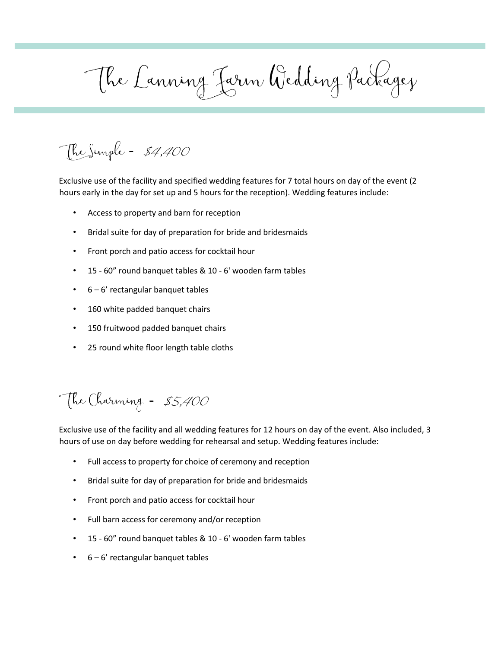The Lanning Jarn Wedding Packagez

The Simple - \$4,400

Exclusive use of the facility and specified wedding features for 7 total hours on day of the event (2 hours early in the day for set up and 5 hours for the reception). Wedding features include:

- Access to property and barn for reception
- Bridal suite for day of preparation for bride and bridesmaids
- Front porch and patio access for cocktail hour
- 15 60" round banquet tables & 10 6' wooden farm tables
- 6 6' rectangular banquet tables
- 160 white padded banquet chairs
- 150 fruitwood padded banquet chairs
- 25 round white floor length table cloths

The Charming - \$5,400

Exclusive use of the facility and all wedding features for 12 hours on day of the event. Also included, 3 hours of use on day before wedding for rehearsal and setup. Wedding features include:

- Full access to property for choice of ceremony and reception
- Bridal suite for day of preparation for bride and bridesmaids
- Front porch and patio access for cocktail hour
- Full barn access for ceremony and/or reception
- 15 60" round banquet tables & 10 6' wooden farm tables
- 6 6' rectangular banquet tables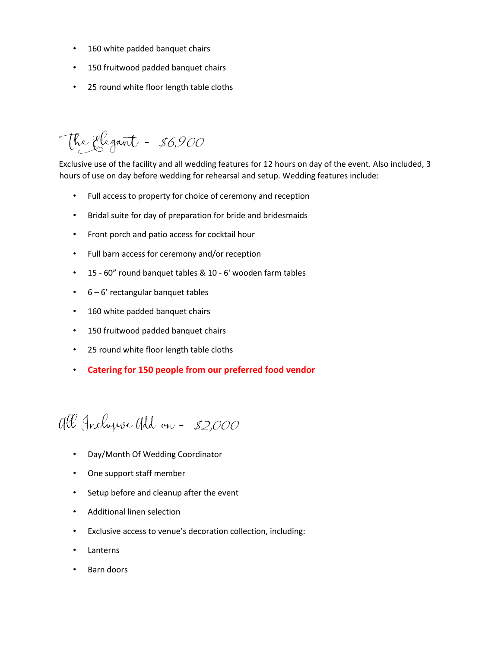- 160 white padded banquet chairs
- 150 fruitwood padded banquet chairs
- 25 round white floor length table cloths

The Elegant - \$6,900

Exclusive use of the facility and all wedding features for 12 hours on day of the event. Also included, 3 hours of use on day before wedding for rehearsal and setup. Wedding features include:

- Full access to property for choice of ceremony and reception
- Bridal suite for day of preparation for bride and bridesmaids
- Front porch and patio access for cocktail hour
- Full barn access for ceremony and/or reception
- 15 60" round banquet tables & 10 6' wooden farm tables
- 6 6' rectangular banquet tables
- 160 white padded banquet chairs
- 150 fruitwood padded banquet chairs
- 25 round white floor length table cloths
- **Catering for 150 people from our preferred food vendor**

## all Inclusive add on - \$2,000

- Day/Month Of Wedding Coordinator
- One support staff member
- Setup before and cleanup after the event
- Additional linen selection
- Exclusive access to venue's decoration collection, including:
- **Lanterns**
- Barn doors